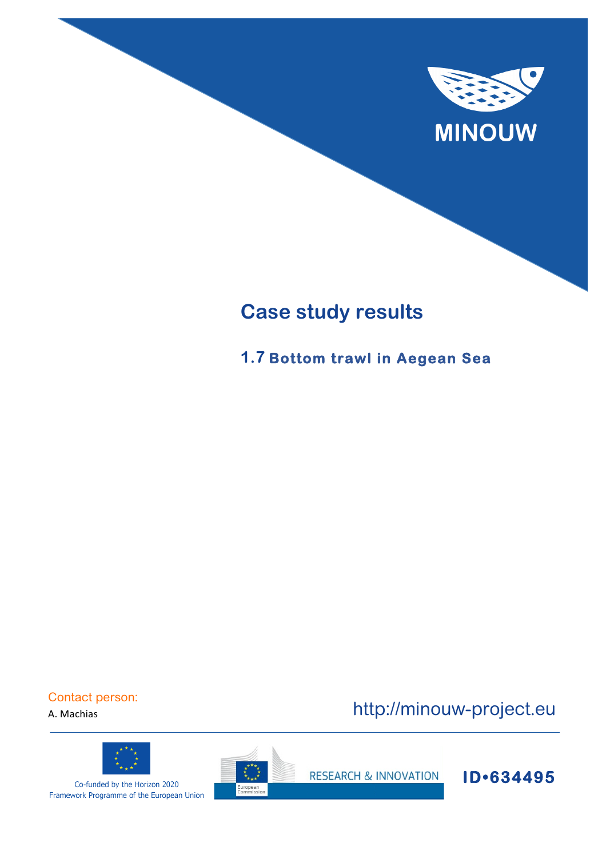

# **Case study results**

**1.7 Bottom trawl in Aegean Sea** 

Contact person:

A. Machias



Co-funded by the Horizon 2020 Framework Programme of the European Union



http://minouw-project.eu

**RESEARCH & INNOVATION** 

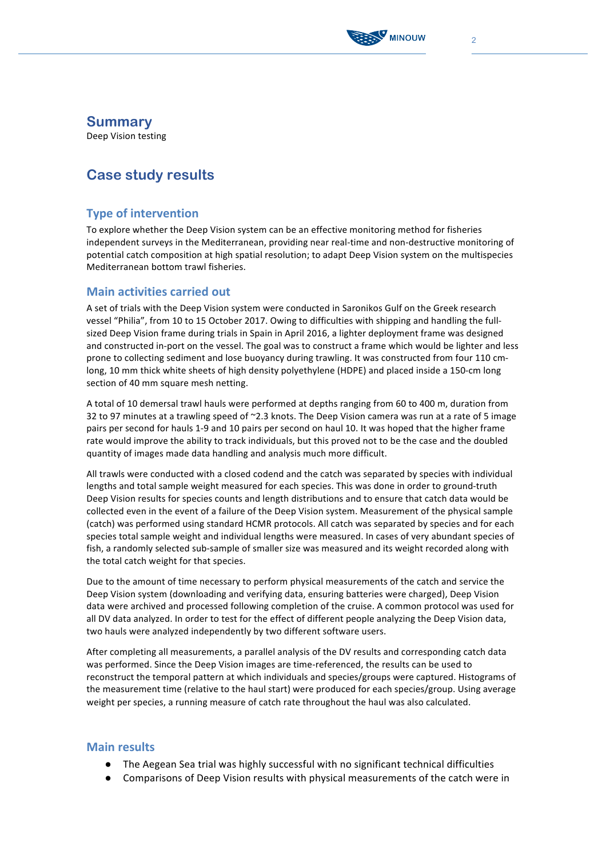

## **Summary**

Deep Vision testing

# **Case study results**

## **Type of intervention**

To explore whether the Deep Vision system can be an effective monitoring method for fisheries independent surveys in the Mediterranean, providing near real-time and non-destructive monitoring of potential catch composition at high spatial resolution; to adapt Deep Vision system on the multispecies Mediterranean bottom trawl fisheries.

### **Main activities carried out**

A set of trials with the Deep Vision system were conducted in Saronikos Gulf on the Greek research vessel "Philia", from 10 to 15 October 2017. Owing to difficulties with shipping and handling the fullsized Deep Vision frame during trials in Spain in April 2016, a lighter deployment frame was designed and constructed in-port on the vessel. The goal was to construct a frame which would be lighter and less prone to collecting sediment and lose buoyancy during trawling. It was constructed from four 110 cmlong, 10 mm thick white sheets of high density polyethylene (HDPE) and placed inside a 150-cm long section of 40 mm square mesh netting.

A total of 10 demersal trawl hauls were performed at depths ranging from 60 to 400 m, duration from 32 to 97 minutes at a trawling speed of  $\sim$ 2.3 knots. The Deep Vision camera was run at a rate of 5 image pairs per second for hauls 1-9 and 10 pairs per second on haul 10. It was hoped that the higher frame rate would improve the ability to track individuals, but this proved not to be the case and the doubled quantity of images made data handling and analysis much more difficult.

All trawls were conducted with a closed codend and the catch was separated by species with individual lengths and total sample weight measured for each species. This was done in order to ground-truth Deep Vision results for species counts and length distributions and to ensure that catch data would be collected even in the event of a failure of the Deep Vision system. Measurement of the physical sample (catch) was performed using standard HCMR protocols. All catch was separated by species and for each species total sample weight and individual lengths were measured. In cases of very abundant species of fish, a randomly selected sub-sample of smaller size was measured and its weight recorded along with the total catch weight for that species.

Due to the amount of time necessary to perform physical measurements of the catch and service the Deep Vision system (downloading and verifying data, ensuring batteries were charged), Deep Vision data were archived and processed following completion of the cruise. A common protocol was used for all DV data analyzed. In order to test for the effect of different people analyzing the Deep Vision data, two hauls were analyzed independently by two different software users.

After completing all measurements, a parallel analysis of the DV results and corresponding catch data was performed. Since the Deep Vision images are time-referenced, the results can be used to reconstruct the temporal pattern at which individuals and species/groups were captured. Histograms of the measurement time (relative to the haul start) were produced for each species/group. Using average weight per species, a running measure of catch rate throughout the haul was also calculated.

#### **Main results**

- The Aegean Sea trial was highly successful with no significant technical difficulties
- Comparisons of Deep Vision results with physical measurements of the catch were in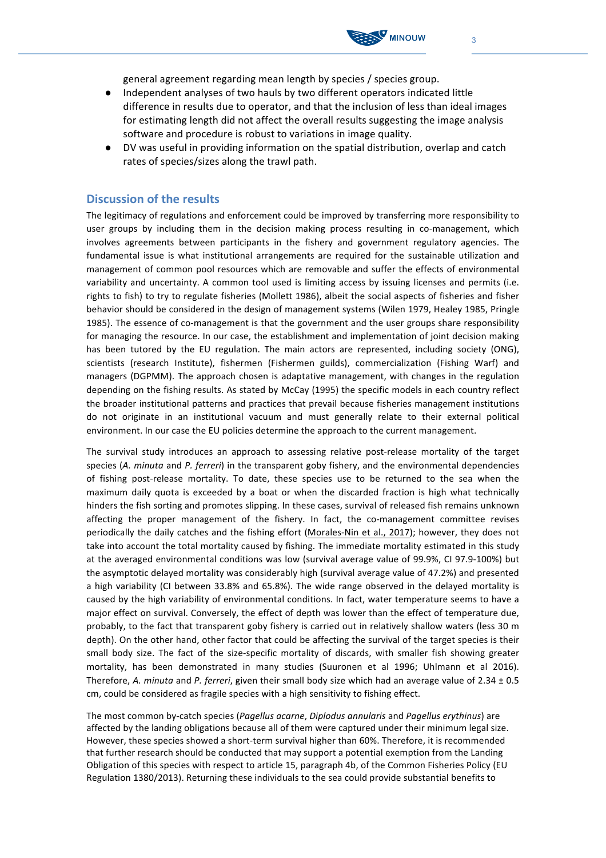general agreement regarding mean length by species / species group.

- Independent analyses of two hauls by two different operators indicated little difference in results due to operator, and that the inclusion of less than ideal images for estimating length did not affect the overall results suggesting the image analysis software and procedure is robust to variations in image quality.
- DV was useful in providing information on the spatial distribution, overlap and catch rates of species/sizes along the trawl path.

#### **Discussion of the results**

The legitimacy of regulations and enforcement could be improved by transferring more responsibility to user groups by including them in the decision making process resulting in co-management, which involves agreements between participants in the fishery and government regulatory agencies. The fundamental issue is what institutional arrangements are required for the sustainable utilization and management of common pool resources which are removable and suffer the effects of environmental variability and uncertainty. A common tool used is limiting access by issuing licenses and permits (i.e. rights to fish) to try to regulate fisheries (Mollett 1986), albeit the social aspects of fisheries and fisher behavior should be considered in the design of management systems (Wilen 1979, Healey 1985, Pringle 1985). The essence of co-management is that the government and the user groups share responsibility for managing the resource. In our case, the establishment and implementation of joint decision making has been tutored by the EU regulation. The main actors are represented, including society (ONG), scientists (research Institute), fishermen (Fishermen guilds), commercialization (Fishing Warf) and managers (DGPMM). The approach chosen is adaptative management, with changes in the regulation depending on the fishing results. As stated by McCay (1995) the specific models in each country reflect the broader institutional patterns and practices that prevail because fisheries management institutions do not originate in an institutional vacuum and must generally relate to their external political environment. In our case the EU policies determine the approach to the current management.

The survival study introduces an approach to assessing relative post-release mortality of the target species (A. minuta and P. ferreri) in the transparent goby fishery, and the environmental dependencies of fishing post-release mortality. To date, these species use to be returned to the sea when the maximum daily quota is exceeded by a boat or when the discarded fraction is high what technically hinders the fish sorting and promotes slipping. In these cases, survival of released fish remains unknown affecting the proper management of the fishery. In fact, the co-management committee revises periodically the daily catches and the fishing effort (Morales-Nin et al., 2017); however, they does not take into account the total mortality caused by fishing. The immediate mortality estimated in this study at the averaged environmental conditions was low (survival average value of 99.9%, CI 97.9-100%) but the asymptotic delayed mortality was considerably high (survival average value of 47.2%) and presented a high variability (CI between 33.8% and 65.8%). The wide range observed in the delayed mortality is caused by the high variability of environmental conditions. In fact, water temperature seems to have a major effect on survival. Conversely, the effect of depth was lower than the effect of temperature due, probably, to the fact that transparent goby fishery is carried out in relatively shallow waters (less 30 m depth). On the other hand, other factor that could be affecting the survival of the target species is their small body size. The fact of the size-specific mortality of discards, with smaller fish showing greater mortality, has been demonstrated in many studies (Suuronen et al 1996; Uhlmann et al 2016). Therefore, *A. minuta* and *P. ferreri*, given their small body size which had an average value of 2.34  $\pm$  0.5 cm, could be considered as fragile species with a high sensitivity to fishing effect.

The most common by-catch species (Pagellus acarne, Diplodus annularis and Pagellus erythinus) are affected by the landing obligations because all of them were captured under their minimum legal size. However, these species showed a short-term survival higher than 60%. Therefore, it is recommended that further research should be conducted that may support a potential exemption from the Landing Obligation of this species with respect to article 15, paragraph 4b, of the Common Fisheries Policy (EU Regulation 1380/2013). Returning these individuals to the sea could provide substantial benefits to

**MINOUW**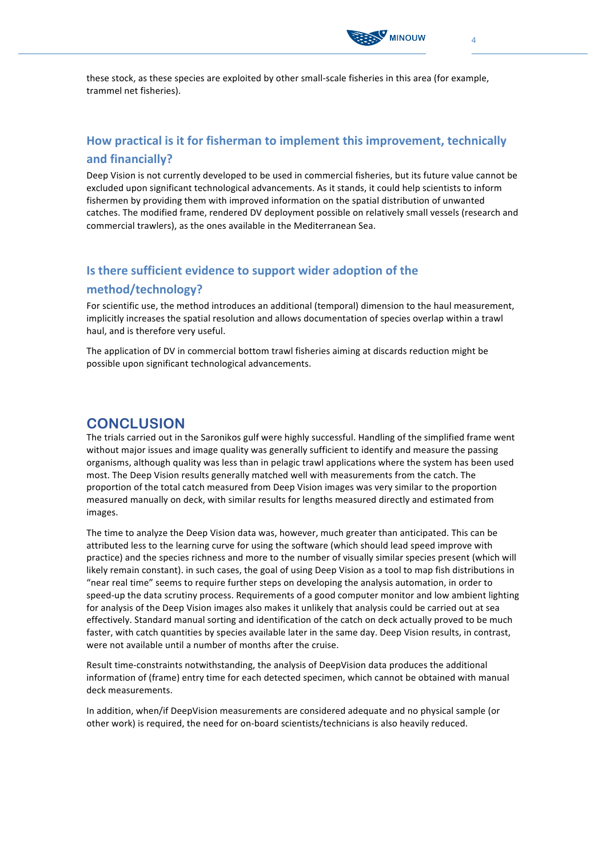

these stock, as these species are exploited by other small-scale fisheries in this area (for example, trammel net fisheries).

## **How practical is it for fisherman to implement this improvement, technically and financially?**

Deep Vision is not currently developed to be used in commercial fisheries, but its future value cannot be excluded upon significant technological advancements. As it stands, it could help scientists to inform fishermen by providing them with improved information on the spatial distribution of unwanted catches. The modified frame, rendered DV deployment possible on relatively small vessels (research and commercial trawlers), as the ones available in the Mediterranean Sea.

## **Is there sufficient evidence to support wider adoption of the method/technology?**

For scientific use, the method introduces an additional (temporal) dimension to the haul measurement, implicitly increases the spatial resolution and allows documentation of species overlap within a trawl haul, and is therefore very useful.

The application of DV in commercial bottom trawl fisheries aiming at discards reduction might be possible upon significant technological advancements.

# **CONCLUSION**

The trials carried out in the Saronikos gulf were highly successful. Handling of the simplified frame went without major issues and image quality was generally sufficient to identify and measure the passing organisms, although quality was less than in pelagic trawl applications where the system has been used most. The Deep Vision results generally matched well with measurements from the catch. The proportion of the total catch measured from Deep Vision images was very similar to the proportion measured manually on deck, with similar results for lengths measured directly and estimated from images. 

The time to analyze the Deep Vision data was, however, much greater than anticipated. This can be attributed less to the learning curve for using the software (which should lead speed improve with practice) and the species richness and more to the number of visually similar species present (which will likely remain constant). in such cases, the goal of using Deep Vision as a tool to map fish distributions in "near real time" seems to require further steps on developing the analysis automation, in order to speed-up the data scrutiny process. Requirements of a good computer monitor and low ambient lighting for analysis of the Deep Vision images also makes it unlikely that analysis could be carried out at sea effectively. Standard manual sorting and identification of the catch on deck actually proved to be much faster, with catch quantities by species available later in the same day. Deep Vision results, in contrast, were not available until a number of months after the cruise.

Result time-constraints notwithstanding, the analysis of DeepVision data produces the additional information of (frame) entry time for each detected specimen, which cannot be obtained with manual deck measurements. 

In addition, when/if DeepVision measurements are considered adequate and no physical sample (or other work) is required, the need for on-board scientists/technicians is also heavily reduced.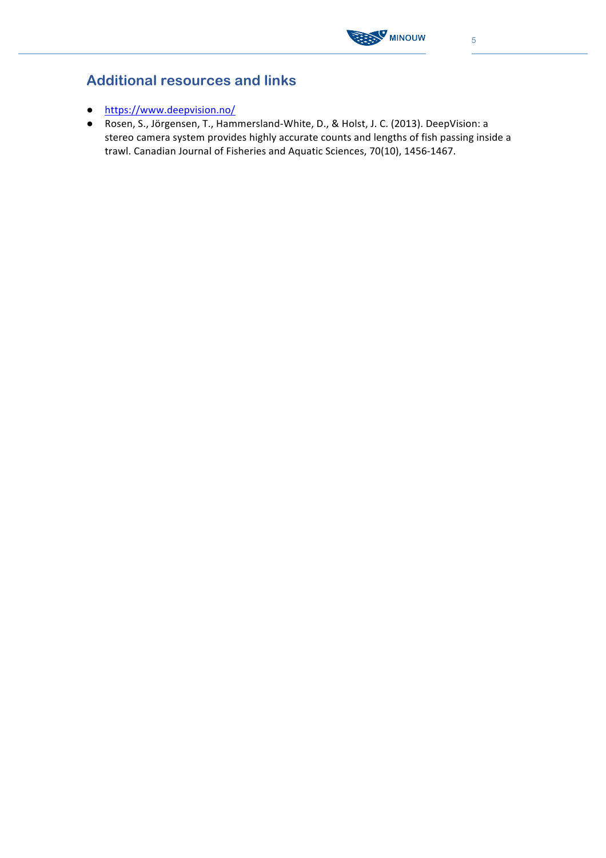

# **Additional resources and links**

- https://www.deepvision.no/
- Rosen, S., Jörgensen, T., Hammersland-White, D., & Holst, J. C. (2013). DeepVision: a stereo camera system provides highly accurate counts and lengths of fish passing inside a trawl. Canadian Journal of Fisheries and Aquatic Sciences, 70(10), 1456-1467.